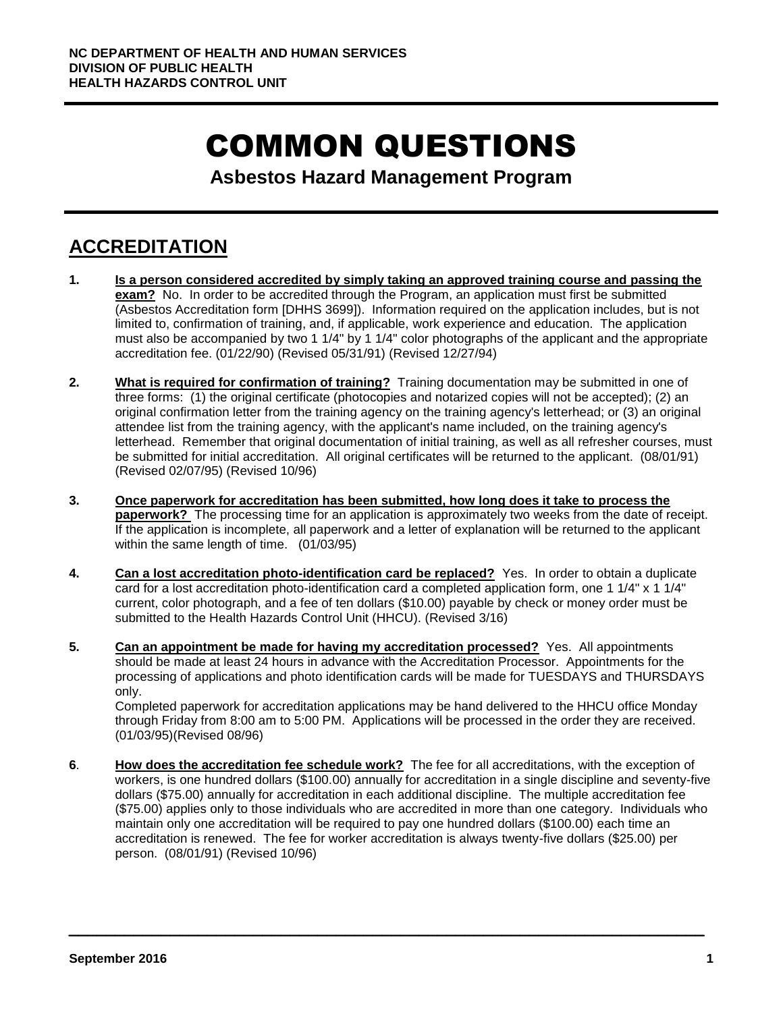# COMMON QUESTIONS

**Asbestos Hazard Management Program**

## **ACCREDITATION**

- **1. Is a person considered accredited by simply taking an approved training course and passing the exam?** No. In order to be accredited through the Program, an application must first be submitted (Asbestos Accreditation form [DHHS 3699]). Information required on the application includes, but is not limited to, confirmation of training, and, if applicable, work experience and education. The application must also be accompanied by two 1 1/4" by 1 1/4" color photographs of the applicant and the appropriate accreditation fee. (01/22/90) (Revised 05/31/91) (Revised 12/27/94)
- **2. What is required for confirmation of training?** Training documentation may be submitted in one of three forms: (1) the original certificate (photocopies and notarized copies will not be accepted); (2) an original confirmation letter from the training agency on the training agency's letterhead; or (3) an original attendee list from the training agency, with the applicant's name included, on the training agency's letterhead. Remember that original documentation of initial training, as well as all refresher courses, must be submitted for initial accreditation. All original certificates will be returned to the applicant. (08/01/91) (Revised 02/07/95) (Revised 10/96)
- **3. Once paperwork for accreditation has been submitted, how long does it take to process the paperwork?** The processing time for an application is approximately two weeks from the date of receipt. If the application is incomplete, all paperwork and a letter of explanation will be returned to the applicant within the same length of time. (01/03/95)
- **4. Can a lost accreditation photo-identification card be replaced?** Yes. In order to obtain a duplicate card for a lost accreditation photo-identification card a completed application form, one 1 1/4" x 1 1/4" current, color photograph, and a fee of ten dollars (\$10.00) payable by check or money order must be submitted to the Health Hazards Control Unit (HHCU). (Revised 3/16)
- **5. Can an appointment be made for having my accreditation processed?** Yes. All appointments should be made at least 24 hours in advance with the Accreditation Processor. Appointments for the processing of applications and photo identification cards will be made for TUESDAYS and THURSDAYS only.

Completed paperwork for accreditation applications may be hand delivered to the HHCU office Monday through Friday from 8:00 am to 5:00 PM. Applications will be processed in the order they are received. (01/03/95)(Revised 08/96)

**6**. **How does the accreditation fee schedule work?** The fee for all accreditations, with the exception of workers, is one hundred dollars (\$100.00) annually for accreditation in a single discipline and seventy-five dollars (\$75.00) annually for accreditation in each additional discipline. The multiple accreditation fee (\$75.00) applies only to those individuals who are accredited in more than one category. Individuals who maintain only one accreditation will be required to pay one hundred dollars (\$100.00) each time an accreditation is renewed. The fee for worker accreditation is always twenty-five dollars (\$25.00) per person. (08/01/91) (Revised 10/96)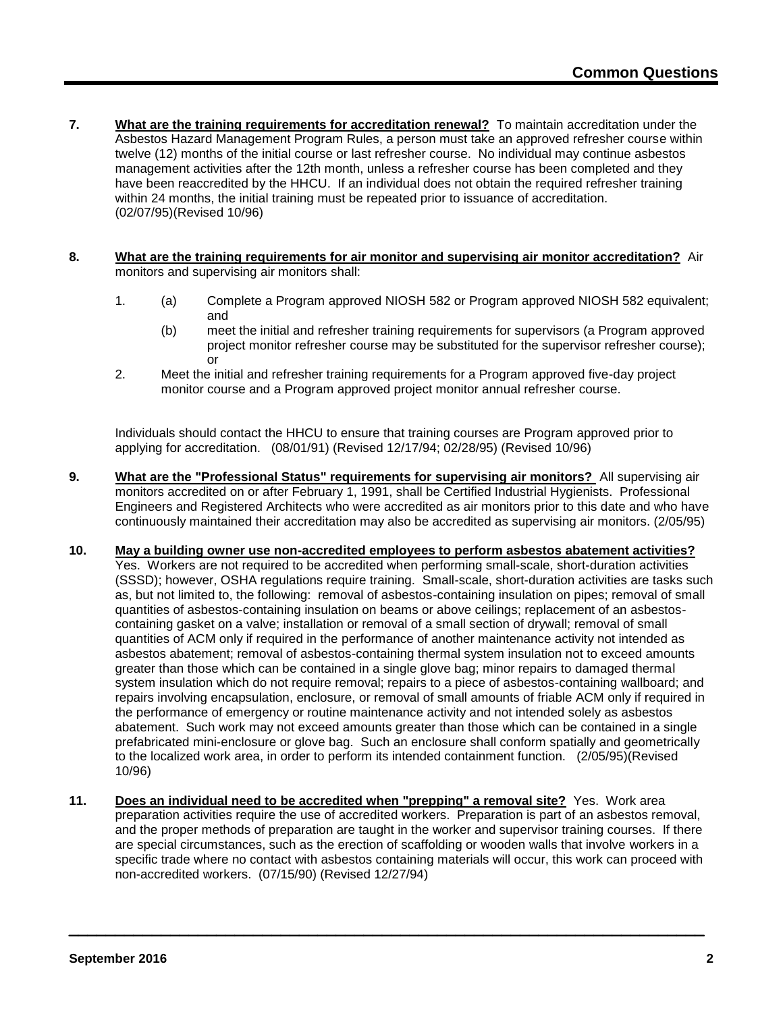- **7. What are the training requirements for accreditation renewal?** To maintain accreditation under the Asbestos Hazard Management Program Rules, a person must take an approved refresher course within twelve (12) months of the initial course or last refresher course. No individual may continue asbestos management activities after the 12th month, unless a refresher course has been completed and they have been reaccredited by the HHCU. If an individual does not obtain the required refresher training within 24 months, the initial training must be repeated prior to issuance of accreditation. (02/07/95)(Revised 10/96)
- **8. What are the training requirements for air monitor and supervising air monitor accreditation?** Air monitors and supervising air monitors shall:
	- 1. (a) Complete a Program approved NIOSH 582 or Program approved NIOSH 582 equivalent; and
		- (b) meet the initial and refresher training requirements for supervisors (a Program approved project monitor refresher course may be substituted for the supervisor refresher course); or
	- 2. Meet the initial and refresher training requirements for a Program approved five-day project monitor course and a Program approved project monitor annual refresher course.

Individuals should contact the HHCU to ensure that training courses are Program approved prior to applying for accreditation. (08/01/91) (Revised 12/17/94; 02/28/95) (Revised 10/96)

- **9. What are the "Professional Status" requirements for supervising air monitors?** All supervising air monitors accredited on or after February 1, 1991, shall be Certified Industrial Hygienists. Professional Engineers and Registered Architects who were accredited as air monitors prior to this date and who have continuously maintained their accreditation may also be accredited as supervising air monitors. (2/05/95)
- **10. May a building owner use non-accredited employees to perform asbestos abatement activities?** Yes. Workers are not required to be accredited when performing small-scale, short-duration activities (SSSD); however, OSHA regulations require training. Small-scale, short-duration activities are tasks such as, but not limited to, the following: removal of asbestos-containing insulation on pipes; removal of small quantities of asbestos-containing insulation on beams or above ceilings; replacement of an asbestoscontaining gasket on a valve; installation or removal of a small section of drywall; removal of small quantities of ACM only if required in the performance of another maintenance activity not intended as asbestos abatement; removal of asbestos-containing thermal system insulation not to exceed amounts greater than those which can be contained in a single glove bag; minor repairs to damaged thermal system insulation which do not require removal; repairs to a piece of asbestos-containing wallboard; and repairs involving encapsulation, enclosure, or removal of small amounts of friable ACM only if required in the performance of emergency or routine maintenance activity and not intended solely as asbestos abatement. Such work may not exceed amounts greater than those which can be contained in a single prefabricated mini-enclosure or glove bag. Such an enclosure shall conform spatially and geometrically to the localized work area, in order to perform its intended containment function. (2/05/95)(Revised 10/96)
- **11. Does an individual need to be accredited when "prepping" a removal site?** Yes. Work area preparation activities require the use of accredited workers. Preparation is part of an asbestos removal, and the proper methods of preparation are taught in the worker and supervisor training courses. If there are special circumstances, such as the erection of scaffolding or wooden walls that involve workers in a specific trade where no contact with asbestos containing materials will occur, this work can proceed with non-accredited workers. (07/15/90) (Revised 12/27/94)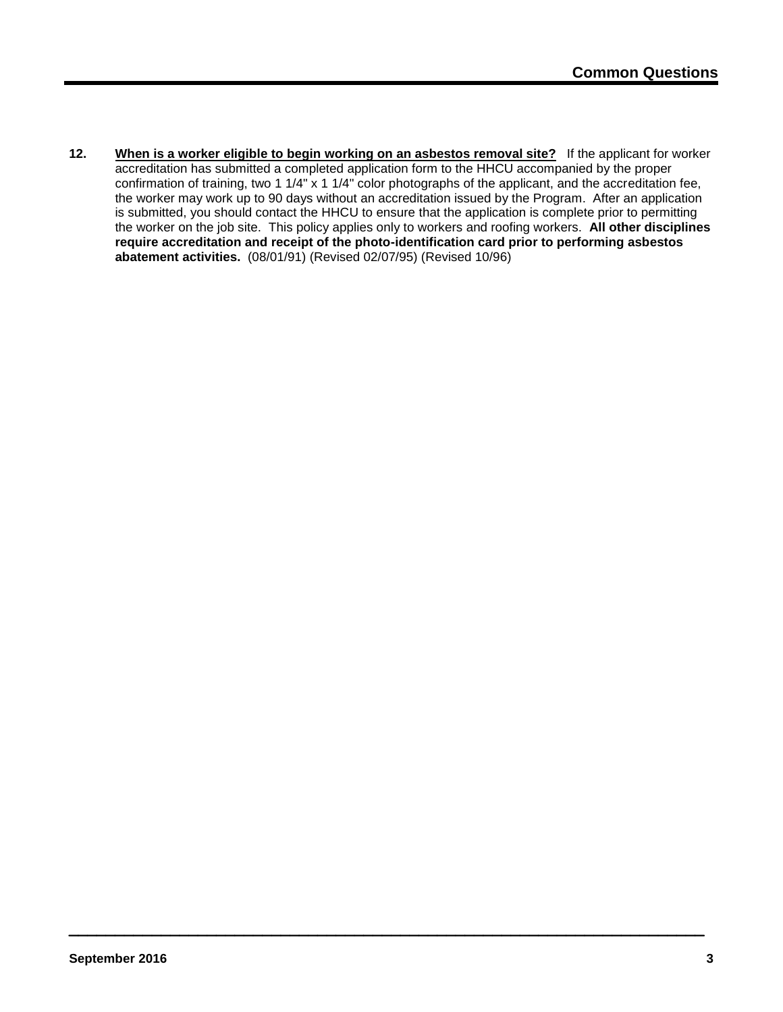**12. When is a worker eligible to begin working on an asbestos removal site?** If the applicant for worker accreditation has submitted a completed application form to the HHCU accompanied by the proper confirmation of training, two 1 1/4" x 1 1/4" color photographs of the applicant, and the accreditation fee, the worker may work up to 90 days without an accreditation issued by the Program. After an application is submitted, you should contact the HHCU to ensure that the application is complete prior to permitting the worker on the job site. This policy applies only to workers and roofing workers. **All other disciplines require accreditation and receipt of the photo-identification card prior to performing asbestos abatement activities.** (08/01/91) (Revised 02/07/95) (Revised 10/96)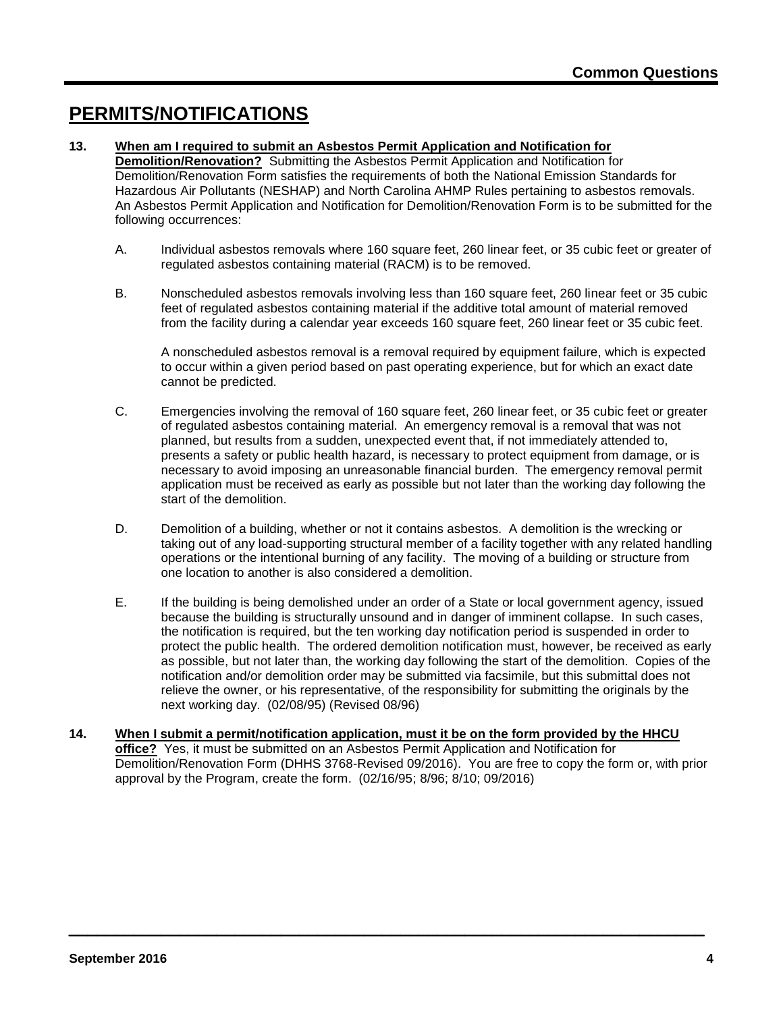### **PERMITS/NOTIFICATIONS**

### **13. When am I required to submit an Asbestos Permit Application and Notification for**

**Demolition/Renovation?** Submitting the Asbestos Permit Application and Notification for Demolition/Renovation Form satisfies the requirements of both the National Emission Standards for Hazardous Air Pollutants (NESHAP) and North Carolina AHMP Rules pertaining to asbestos removals. An Asbestos Permit Application and Notification for Demolition/Renovation Form is to be submitted for the following occurrences:

- A. Individual asbestos removals where 160 square feet, 260 linear feet, or 35 cubic feet or greater of regulated asbestos containing material (RACM) is to be removed.
- B. Nonscheduled asbestos removals involving less than 160 square feet, 260 linear feet or 35 cubic feet of regulated asbestos containing material if the additive total amount of material removed from the facility during a calendar year exceeds 160 square feet, 260 linear feet or 35 cubic feet.

A nonscheduled asbestos removal is a removal required by equipment failure, which is expected to occur within a given period based on past operating experience, but for which an exact date cannot be predicted.

- C. Emergencies involving the removal of 160 square feet, 260 linear feet, or 35 cubic feet or greater of regulated asbestos containing material. An emergency removal is a removal that was not planned, but results from a sudden, unexpected event that, if not immediately attended to, presents a safety or public health hazard, is necessary to protect equipment from damage, or is necessary to avoid imposing an unreasonable financial burden. The emergency removal permit application must be received as early as possible but not later than the working day following the start of the demolition.
- D. Demolition of a building, whether or not it contains asbestos. A demolition is the wrecking or taking out of any load-supporting structural member of a facility together with any related handling operations or the intentional burning of any facility. The moving of a building or structure from one location to another is also considered a demolition.
- E. If the building is being demolished under an order of a State or local government agency, issued because the building is structurally unsound and in danger of imminent collapse. In such cases, the notification is required, but the ten working day notification period is suspended in order to protect the public health. The ordered demolition notification must, however, be received as early as possible, but not later than, the working day following the start of the demolition. Copies of the notification and/or demolition order may be submitted via facsimile, but this submittal does not relieve the owner, or his representative, of the responsibility for submitting the originals by the next working day. (02/08/95) (Revised 08/96)
- **14. When I submit a permit/notification application, must it be on the form provided by the HHCU office?** Yes, it must be submitted on an Asbestos Permit Application and Notification for Demolition/Renovation Form (DHHS 3768-Revised 09/2016). You are free to copy the form or, with prior approval by the Program, create the form. (02/16/95; 8/96; 8/10; 09/2016)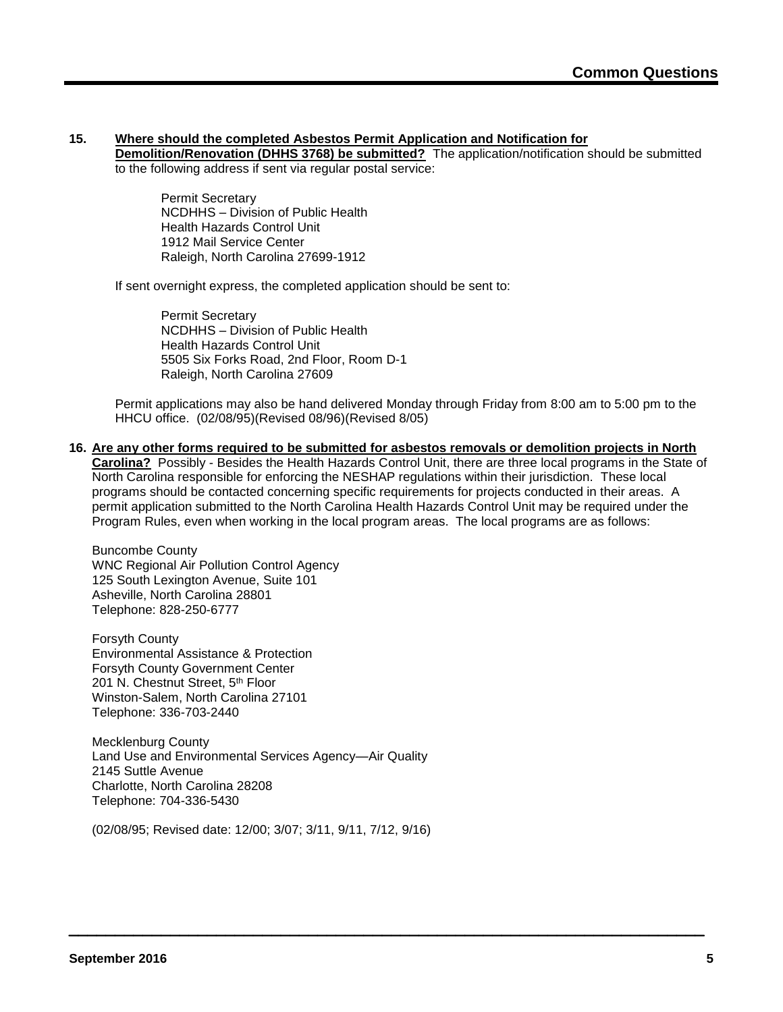### **15. Where should the completed Asbestos Permit Application and Notification for**

**Demolition/Renovation (DHHS 3768) be submitted?** The application/notification should be submitted to the following address if sent via regular postal service:

Permit Secretary NCDHHS – Division of Public Health Health Hazards Control Unit 1912 Mail Service Center Raleigh, North Carolina 27699-1912

If sent overnight express, the completed application should be sent to:

Permit Secretary NCDHHS – Division of Public Health Health Hazards Control Unit 5505 Six Forks Road, 2nd Floor, Room D-1 Raleigh, North Carolina 27609

Permit applications may also be hand delivered Monday through Friday from 8:00 am to 5:00 pm to the HHCU office. (02/08/95)(Revised 08/96)(Revised 8/05)

**16. Are any other forms required to be submitted for asbestos removals or demolition projects in North Carolina?** Possibly - Besides the Health Hazards Control Unit, there are three local programs in the State of North Carolina responsible for enforcing the NESHAP regulations within their jurisdiction. These local programs should be contacted concerning specific requirements for projects conducted in their areas. A permit application submitted to the North Carolina Health Hazards Control Unit may be required under the Program Rules, even when working in the local program areas. The local programs are as follows:

Buncombe County WNC Regional Air Pollution Control Agency 125 South Lexington Avenue, Suite 101 Asheville, North Carolina 28801 Telephone: 828-250-6777

Forsyth County Environmental Assistance & Protection Forsyth County Government Center 201 N. Chestnut Street, 5<sup>th</sup> Floor Winston-Salem, North Carolina 27101 Telephone: 336-703-2440

Mecklenburg County Land Use and Environmental Services Agency—Air Quality 2145 Suttle Avenue Charlotte, North Carolina 28208 Telephone: 704-336-5430

(02/08/95; Revised date: 12/00; 3/07; 3/11, 9/11, 7/12, 9/16)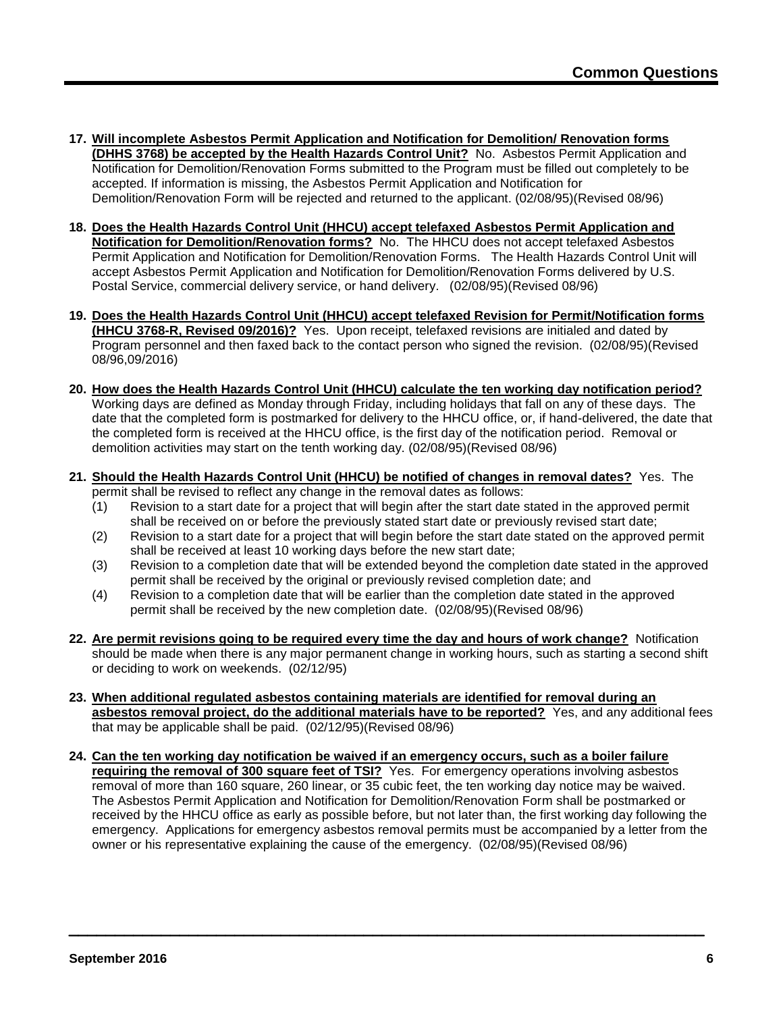- **17. Will incomplete Asbestos Permit Application and Notification for Demolition/ Renovation forms (DHHS 3768) be accepted by the Health Hazards Control Unit?** No. Asbestos Permit Application and Notification for Demolition/Renovation Forms submitted to the Program must be filled out completely to be accepted. If information is missing, the Asbestos Permit Application and Notification for Demolition/Renovation Form will be rejected and returned to the applicant. (02/08/95)(Revised 08/96)
- **18. Does the Health Hazards Control Unit (HHCU) accept telefaxed Asbestos Permit Application and Notification for Demolition/Renovation forms?** No. The HHCU does not accept telefaxed Asbestos Permit Application and Notification for Demolition/Renovation Forms. The Health Hazards Control Unit will accept Asbestos Permit Application and Notification for Demolition/Renovation Forms delivered by U.S. Postal Service, commercial delivery service, or hand delivery. (02/08/95)(Revised 08/96)
- **19. Does the Health Hazards Control Unit (HHCU) accept telefaxed Revision for Permit/Notification forms (HHCU 3768-R, Revised 09/2016)?** Yes. Upon receipt, telefaxed revisions are initialed and dated by Program personnel and then faxed back to the contact person who signed the revision. (02/08/95)(Revised 08/96,09/2016)
- **20. How does the Health Hazards Control Unit (HHCU) calculate the ten working day notification period?** Working days are defined as Monday through Friday, including holidays that fall on any of these days. The date that the completed form is postmarked for delivery to the HHCU office, or, if hand-delivered, the date that the completed form is received at the HHCU office, is the first day of the notification period. Removal or demolition activities may start on the tenth working day. (02/08/95)(Revised 08/96)
- **21. Should the Health Hazards Control Unit (HHCU) be notified of changes in removal dates?** Yes. The permit shall be revised to reflect any change in the removal dates as follows:
	- (1) Revision to a start date for a project that will begin after the start date stated in the approved permit shall be received on or before the previously stated start date or previously revised start date;
	- (2) Revision to a start date for a project that will begin before the start date stated on the approved permit shall be received at least 10 working days before the new start date;
	- (3) Revision to a completion date that will be extended beyond the completion date stated in the approved permit shall be received by the original or previously revised completion date; and
	- (4) Revision to a completion date that will be earlier than the completion date stated in the approved permit shall be received by the new completion date. (02/08/95)(Revised 08/96)
- **22. Are permit revisions going to be required every time the day and hours of work change?** Notification should be made when there is any major permanent change in working hours, such as starting a second shift or deciding to work on weekends. (02/12/95)
- **23. When additional regulated asbestos containing materials are identified for removal during an asbestos removal project, do the additional materials have to be reported?** Yes, and any additional fees that may be applicable shall be paid. (02/12/95)(Revised 08/96)
- **24. Can the ten working day notification be waived if an emergency occurs, such as a boiler failure requiring the removal of 300 square feet of TSI?** Yes. For emergency operations involving asbestos removal of more than 160 square, 260 linear, or 35 cubic feet, the ten working day notice may be waived. The Asbestos Permit Application and Notification for Demolition/Renovation Form shall be postmarked or received by the HHCU office as early as possible before, but not later than, the first working day following the emergency. Applications for emergency asbestos removal permits must be accompanied by a letter from the owner or his representative explaining the cause of the emergency. (02/08/95)(Revised 08/96)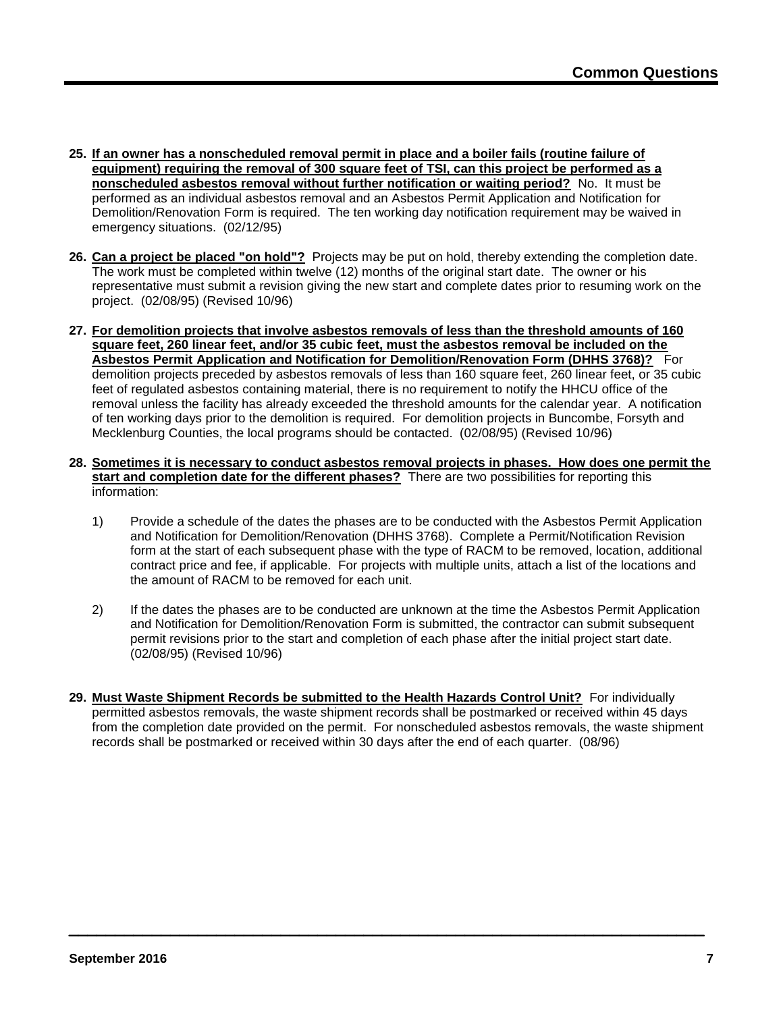- **25. If an owner has a nonscheduled removal permit in place and a boiler fails (routine failure of equipment) requiring the removal of 300 square feet of TSI, can this project be performed as a nonscheduled asbestos removal without further notification or waiting period?** No. It must be performed as an individual asbestos removal and an Asbestos Permit Application and Notification for Demolition/Renovation Form is required. The ten working day notification requirement may be waived in emergency situations. (02/12/95)
- **26. Can a project be placed "on hold"?** Projects may be put on hold, thereby extending the completion date. The work must be completed within twelve (12) months of the original start date. The owner or his representative must submit a revision giving the new start and complete dates prior to resuming work on the project. (02/08/95) (Revised 10/96)
- **27. For demolition projects that involve asbestos removals of less than the threshold amounts of 160 square feet, 260 linear feet, and/or 35 cubic feet, must the asbestos removal be included on the Asbestos Permit Application and Notification for Demolition/Renovation Form (DHHS 3768)?** For demolition projects preceded by asbestos removals of less than 160 square feet, 260 linear feet, or 35 cubic feet of regulated asbestos containing material, there is no requirement to notify the HHCU office of the removal unless the facility has already exceeded the threshold amounts for the calendar year. A notification of ten working days prior to the demolition is required. For demolition projects in Buncombe, Forsyth and Mecklenburg Counties, the local programs should be contacted. (02/08/95) (Revised 10/96)
- **28. Sometimes it is necessary to conduct asbestos removal projects in phases. How does one permit the start and completion date for the different phases?** There are two possibilities for reporting this information:
	- 1) Provide a schedule of the dates the phases are to be conducted with the Asbestos Permit Application and Notification for Demolition/Renovation (DHHS 3768). Complete a Permit/Notification Revision form at the start of each subsequent phase with the type of RACM to be removed, location, additional contract price and fee, if applicable. For projects with multiple units, attach a list of the locations and the amount of RACM to be removed for each unit.
	- 2) If the dates the phases are to be conducted are unknown at the time the Asbestos Permit Application and Notification for Demolition/Renovation Form is submitted, the contractor can submit subsequent permit revisions prior to the start and completion of each phase after the initial project start date. (02/08/95) (Revised 10/96)
- **29. Must Waste Shipment Records be submitted to the Health Hazards Control Unit?** For individually permitted asbestos removals, the waste shipment records shall be postmarked or received within 45 days from the completion date provided on the permit. For nonscheduled asbestos removals, the waste shipment records shall be postmarked or received within 30 days after the end of each quarter. (08/96)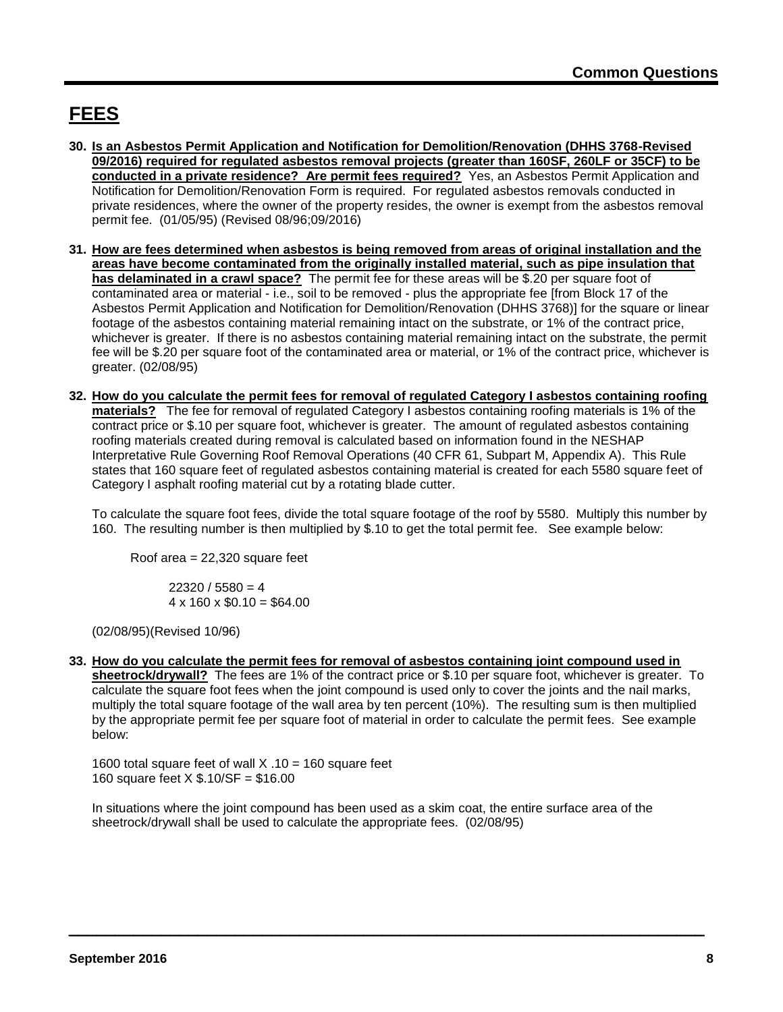# **FEES**

- **30. Is an Asbestos Permit Application and Notification for Demolition/Renovation (DHHS 3768-Revised 09/2016) required for regulated asbestos removal projects (greater than 160SF, 260LF or 35CF) to be conducted in a private residence? Are permit fees required?** Yes, an Asbestos Permit Application and Notification for Demolition/Renovation Form is required. For regulated asbestos removals conducted in private residences, where the owner of the property resides, the owner is exempt from the asbestos removal permit fee. (01/05/95) (Revised 08/96;09/2016)
- **31. How are fees determined when asbestos is being removed from areas of original installation and the areas have become contaminated from the originally installed material, such as pipe insulation that has delaminated in a crawl space?** The permit fee for these areas will be \$.20 per square foot of contaminated area or material - i.e., soil to be removed - plus the appropriate fee [from Block 17 of the Asbestos Permit Application and Notification for Demolition/Renovation (DHHS 3768)] for the square or linear footage of the asbestos containing material remaining intact on the substrate, or 1% of the contract price, whichever is greater. If there is no asbestos containing material remaining intact on the substrate, the permit fee will be \$.20 per square foot of the contaminated area or material, or 1% of the contract price, whichever is greater. (02/08/95)
- **32. How do you calculate the permit fees for removal of regulated Category I asbestos containing roofing materials?** The fee for removal of regulated Category I asbestos containing roofing materials is 1% of the contract price or \$.10 per square foot, whichever is greater. The amount of regulated asbestos containing roofing materials created during removal is calculated based on information found in the NESHAP Interpretative Rule Governing Roof Removal Operations (40 CFR 61, Subpart M, Appendix A). This Rule states that 160 square feet of regulated asbestos containing material is created for each 5580 square feet of Category I asphalt roofing material cut by a rotating blade cutter.

To calculate the square foot fees, divide the total square footage of the roof by 5580. Multiply this number by 160. The resulting number is then multiplied by \$.10 to get the total permit fee. See example below:

Roof area = 22,320 square feet

 $22320 / 5580 = 4$  $4 \times 160 \times $0.10 = $64.00$ 

(02/08/95)(Revised 10/96)

**33. How do you calculate the permit fees for removal of asbestos containing joint compound used in sheetrock/drywall?** The fees are 1% of the contract price or \$.10 per square foot, whichever is greater. To calculate the square foot fees when the joint compound is used only to cover the joints and the nail marks, multiply the total square footage of the wall area by ten percent (10%). The resulting sum is then multiplied by the appropriate permit fee per square foot of material in order to calculate the permit fees. See example below:

1600 total square feet of wall  $X \cdot 10 = 160$  square feet 160 square feet X \$.10/SF = \$16.00

In situations where the joint compound has been used as a skim coat, the entire surface area of the sheetrock/drywall shall be used to calculate the appropriate fees. (02/08/95)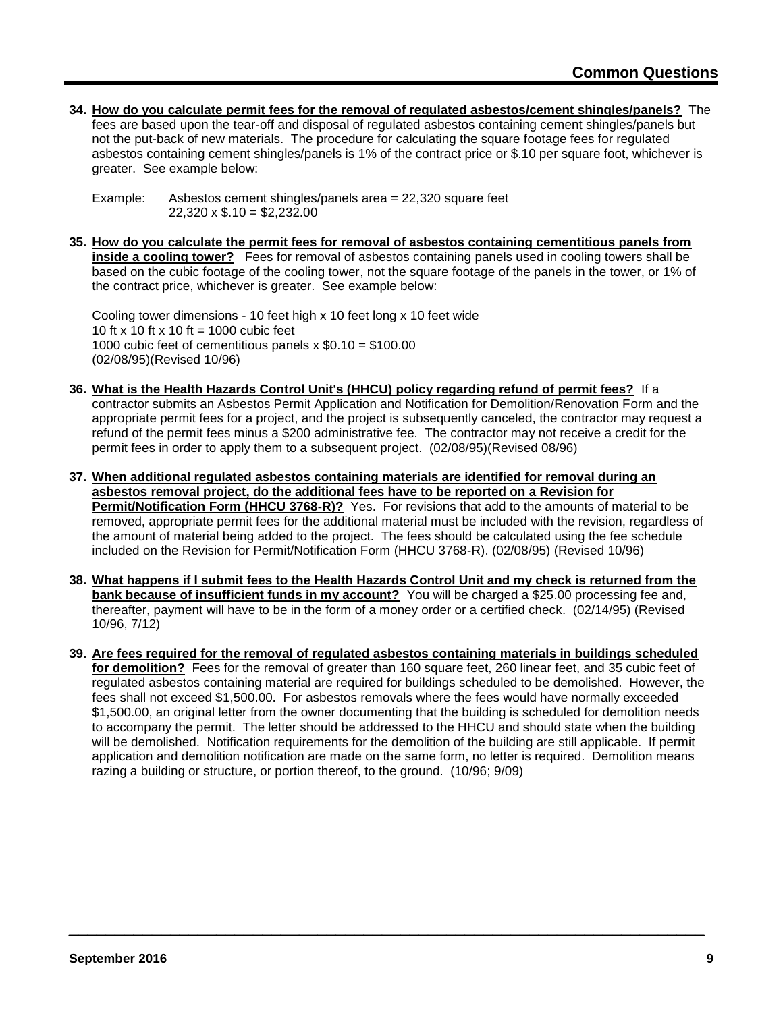**34. How do you calculate permit fees for the removal of regulated asbestos/cement shingles/panels?** The

fees are based upon the tear-off and disposal of regulated asbestos containing cement shingles/panels but not the put-back of new materials. The procedure for calculating the square footage fees for regulated asbestos containing cement shingles/panels is 1% of the contract price or \$.10 per square foot, whichever is greater. See example below:

Example: Asbestos cement shingles/panels area = 22,320 square feet  $22,320 \times$  \$.10 = \$2,232.00

**35. How do you calculate the permit fees for removal of asbestos containing cementitious panels from inside a cooling tower?** Fees for removal of asbestos containing panels used in cooling towers shall be based on the cubic footage of the cooling tower, not the square footage of the panels in the tower, or 1% of the contract price, whichever is greater. See example below:

Cooling tower dimensions - 10 feet high x 10 feet long x 10 feet wide 10 ft x 10 ft x 10 ft = 1000 cubic feet 1000 cubic feet of cementitious panels  $x $0.10 = $100.00$ (02/08/95)(Revised 10/96)

- **36. What is the Health Hazards Control Unit's (HHCU) policy regarding refund of permit fees?** If a contractor submits an Asbestos Permit Application and Notification for Demolition/Renovation Form and the appropriate permit fees for a project, and the project is subsequently canceled, the contractor may request a refund of the permit fees minus a \$200 administrative fee. The contractor may not receive a credit for the permit fees in order to apply them to a subsequent project. (02/08/95)(Revised 08/96)
- **37. When additional regulated asbestos containing materials are identified for removal during an asbestos removal project, do the additional fees have to be reported on a Revision for Permit/Notification Form (HHCU 3768-R)?** Yes. For revisions that add to the amounts of material to be removed, appropriate permit fees for the additional material must be included with the revision, regardless of the amount of material being added to the project. The fees should be calculated using the fee schedule included on the Revision for Permit/Notification Form (HHCU 3768-R). (02/08/95) (Revised 10/96)
- **38. What happens if I submit fees to the Health Hazards Control Unit and my check is returned from the bank because of insufficient funds in my account?** You will be charged a \$25.00 processing fee and, thereafter, payment will have to be in the form of a money order or a certified check. (02/14/95) (Revised 10/96, 7/12)
- **39. Are fees required for the removal of regulated asbestos containing materials in buildings scheduled for demolition?** Fees for the removal of greater than 160 square feet, 260 linear feet, and 35 cubic feet of regulated asbestos containing material are required for buildings scheduled to be demolished. However, the fees shall not exceed \$1,500.00. For asbestos removals where the fees would have normally exceeded \$1,500.00, an original letter from the owner documenting that the building is scheduled for demolition needs to accompany the permit. The letter should be addressed to the HHCU and should state when the building will be demolished. Notification requirements for the demolition of the building are still applicable. If permit application and demolition notification are made on the same form, no letter is required. Demolition means razing a building or structure, or portion thereof, to the ground. (10/96; 9/09)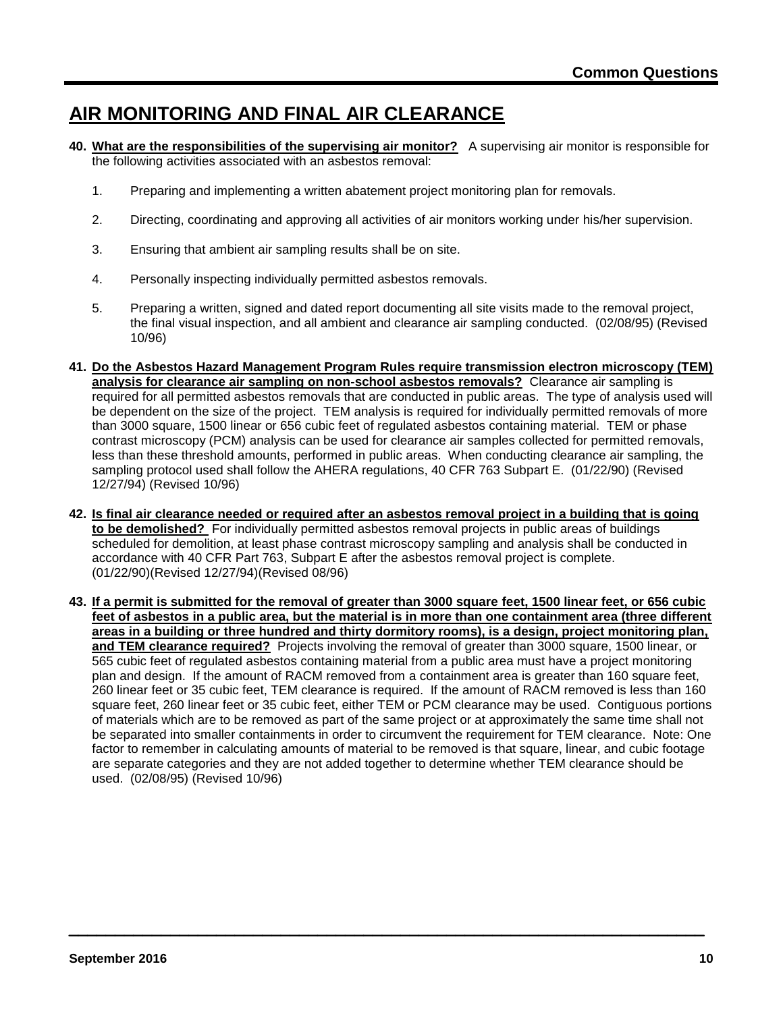### **AIR MONITORING AND FINAL AIR CLEARANCE**

- **40. What are the responsibilities of the supervising air monitor?** A supervising air monitor is responsible for the following activities associated with an asbestos removal:
	- 1. Preparing and implementing a written abatement project monitoring plan for removals.
	- 2. Directing, coordinating and approving all activities of air monitors working under his/her supervision.
	- 3. Ensuring that ambient air sampling results shall be on site.
	- 4. Personally inspecting individually permitted asbestos removals.
	- 5. Preparing a written, signed and dated report documenting all site visits made to the removal project, the final visual inspection, and all ambient and clearance air sampling conducted. (02/08/95) (Revised 10/96)
- **41. Do the Asbestos Hazard Management Program Rules require transmission electron microscopy (TEM) analysis for clearance air sampling on non-school asbestos removals?** Clearance air sampling is required for all permitted asbestos removals that are conducted in public areas. The type of analysis used will be dependent on the size of the project. TEM analysis is required for individually permitted removals of more than 3000 square, 1500 linear or 656 cubic feet of regulated asbestos containing material. TEM or phase contrast microscopy (PCM) analysis can be used for clearance air samples collected for permitted removals, less than these threshold amounts, performed in public areas. When conducting clearance air sampling, the sampling protocol used shall follow the AHERA regulations, 40 CFR 763 Subpart E. (01/22/90) (Revised 12/27/94) (Revised 10/96)
- **42. Is final air clearance needed or required after an asbestos removal project in a building that is going to be demolished?** For individually permitted asbestos removal projects in public areas of buildings scheduled for demolition, at least phase contrast microscopy sampling and analysis shall be conducted in accordance with 40 CFR Part 763, Subpart E after the asbestos removal project is complete. (01/22/90)(Revised 12/27/94)(Revised 08/96)
- **43. If a permit is submitted for the removal of greater than 3000 square feet, 1500 linear feet, or 656 cubic feet of asbestos in a public area, but the material is in more than one containment area (three different areas in a building or three hundred and thirty dormitory rooms), is a design, project monitoring plan, and TEM clearance required?** Projects involving the removal of greater than 3000 square, 1500 linear, or 565 cubic feet of regulated asbestos containing material from a public area must have a project monitoring plan and design. If the amount of RACM removed from a containment area is greater than 160 square feet, 260 linear feet or 35 cubic feet, TEM clearance is required. If the amount of RACM removed is less than 160 square feet, 260 linear feet or 35 cubic feet, either TEM or PCM clearance may be used. Contiguous portions of materials which are to be removed as part of the same project or at approximately the same time shall not be separated into smaller containments in order to circumvent the requirement for TEM clearance. Note: One factor to remember in calculating amounts of material to be removed is that square, linear, and cubic footage are separate categories and they are not added together to determine whether TEM clearance should be used. (02/08/95) (Revised 10/96)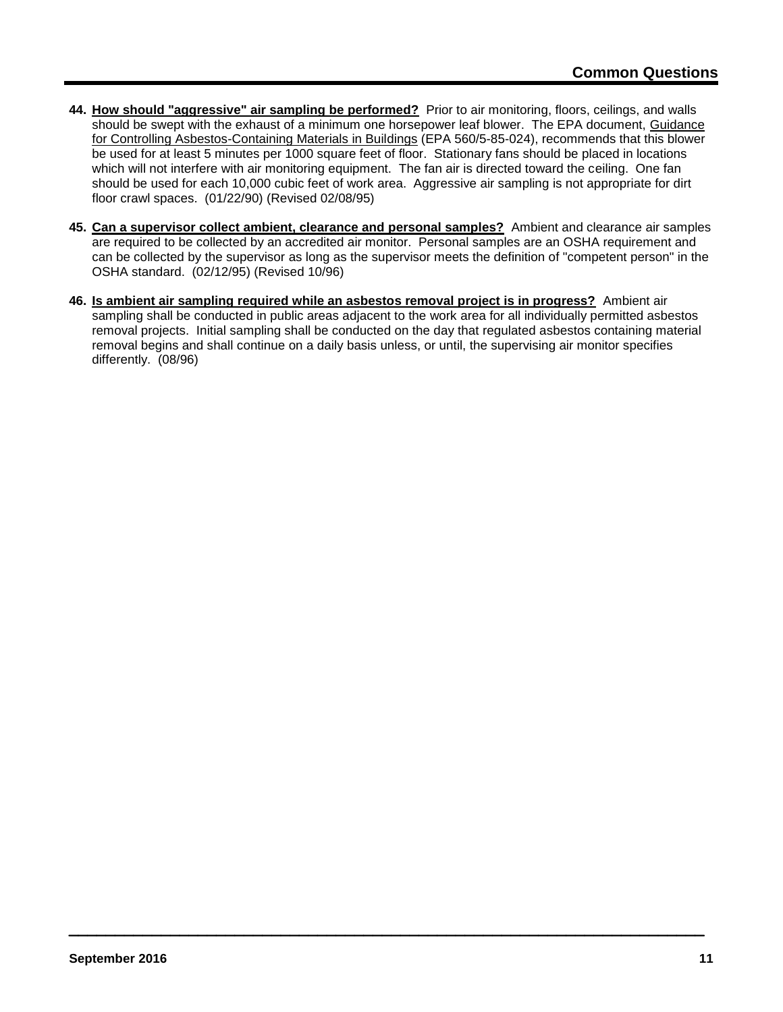- **44. How should "aggressive" air sampling be performed?** Prior to air monitoring, floors, ceilings, and walls should be swept with the exhaust of a minimum one horsepower leaf blower. The EPA document, Guidance for Controlling Asbestos-Containing Materials in Buildings (EPA 560/5-85-024), recommends that this blower be used for at least 5 minutes per 1000 square feet of floor. Stationary fans should be placed in locations which will not interfere with air monitoring equipment. The fan air is directed toward the ceiling. One fan should be used for each 10,000 cubic feet of work area. Aggressive air sampling is not appropriate for dirt floor crawl spaces. (01/22/90) (Revised 02/08/95)
- **45. Can a supervisor collect ambient, clearance and personal samples?** Ambient and clearance air samples are required to be collected by an accredited air monitor. Personal samples are an OSHA requirement and can be collected by the supervisor as long as the supervisor meets the definition of "competent person" in the OSHA standard. (02/12/95) (Revised 10/96)
- **46. Is ambient air sampling required while an asbestos removal project is in progress?** Ambient air sampling shall be conducted in public areas adjacent to the work area for all individually permitted asbestos removal projects. Initial sampling shall be conducted on the day that regulated asbestos containing material removal begins and shall continue on a daily basis unless, or until, the supervising air monitor specifies differently. (08/96)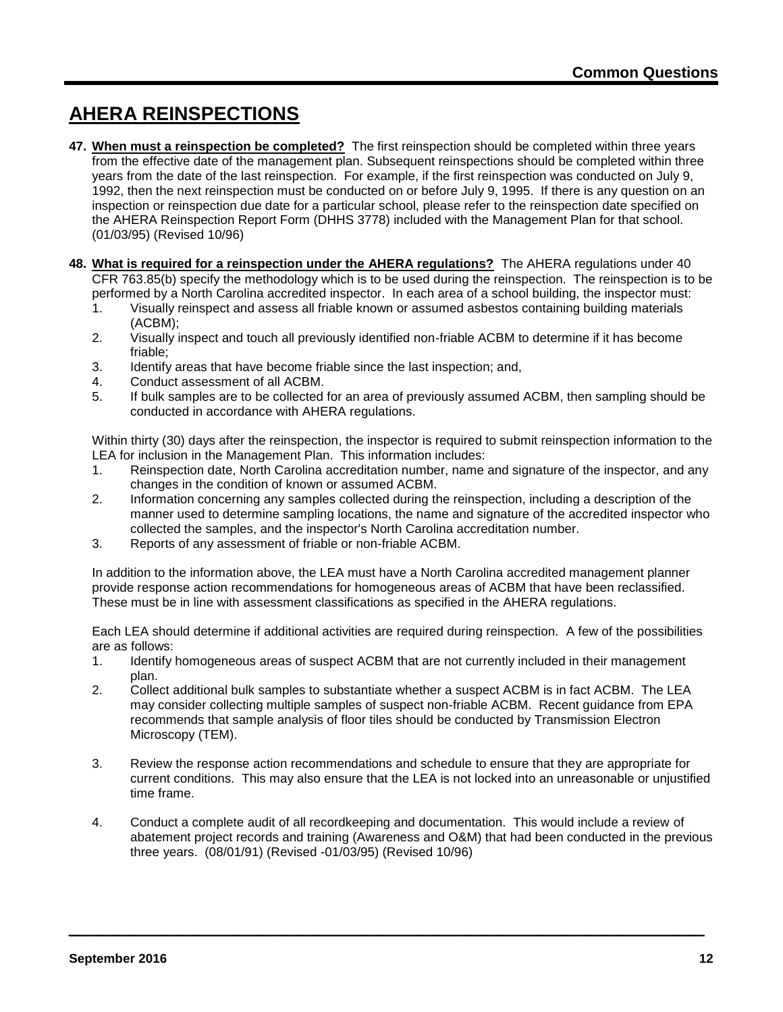# **AHERA REINSPECTIONS**

- **47. When must a reinspection be completed?** The first reinspection should be completed within three years from the effective date of the management plan. Subsequent reinspections should be completed within three years from the date of the last reinspection. For example, if the first reinspection was conducted on July 9, 1992, then the next reinspection must be conducted on or before July 9, 1995. If there is any question on an inspection or reinspection due date for a particular school, please refer to the reinspection date specified on the AHERA Reinspection Report Form (DHHS 3778) included with the Management Plan for that school. (01/03/95) (Revised 10/96)
- **48. What is required for a reinspection under the AHERA regulations?** The AHERA regulations under 40 CFR 763.85(b) specify the methodology which is to be used during the reinspection. The reinspection is to be performed by a North Carolina accredited inspector. In each area of a school building, the inspector must:
	- 1. Visually reinspect and assess all friable known or assumed asbestos containing building materials (ACBM);
	- 2. Visually inspect and touch all previously identified non-friable ACBM to determine if it has become friable;
	- 3. Identify areas that have become friable since the last inspection; and,
	- 4. Conduct assessment of all ACBM.
	- 5. If bulk samples are to be collected for an area of previously assumed ACBM, then sampling should be conducted in accordance with AHERA regulations.

Within thirty (30) days after the reinspection, the inspector is required to submit reinspection information to the LEA for inclusion in the Management Plan. This information includes:

- 1. Reinspection date, North Carolina accreditation number, name and signature of the inspector, and any changes in the condition of known or assumed ACBM.
- 2. Information concerning any samples collected during the reinspection, including a description of the manner used to determine sampling locations, the name and signature of the accredited inspector who collected the samples, and the inspector's North Carolina accreditation number.
- 3. Reports of any assessment of friable or non-friable ACBM.

In addition to the information above, the LEA must have a North Carolina accredited management planner provide response action recommendations for homogeneous areas of ACBM that have been reclassified. These must be in line with assessment classifications as specified in the AHERA regulations.

Each LEA should determine if additional activities are required during reinspection. A few of the possibilities are as follows:

- 1. Identify homogeneous areas of suspect ACBM that are not currently included in their management plan.
- 2. Collect additional bulk samples to substantiate whether a suspect ACBM is in fact ACBM. The LEA may consider collecting multiple samples of suspect non-friable ACBM. Recent guidance from EPA recommends that sample analysis of floor tiles should be conducted by Transmission Electron Microscopy (TEM).
- 3. Review the response action recommendations and schedule to ensure that they are appropriate for current conditions. This may also ensure that the LEA is not locked into an unreasonable or unjustified time frame.
- 4. Conduct a complete audit of all recordkeeping and documentation. This would include a review of abatement project records and training (Awareness and O&M) that had been conducted in the previous three years. (08/01/91) (Revised -01/03/95) (Revised 10/96)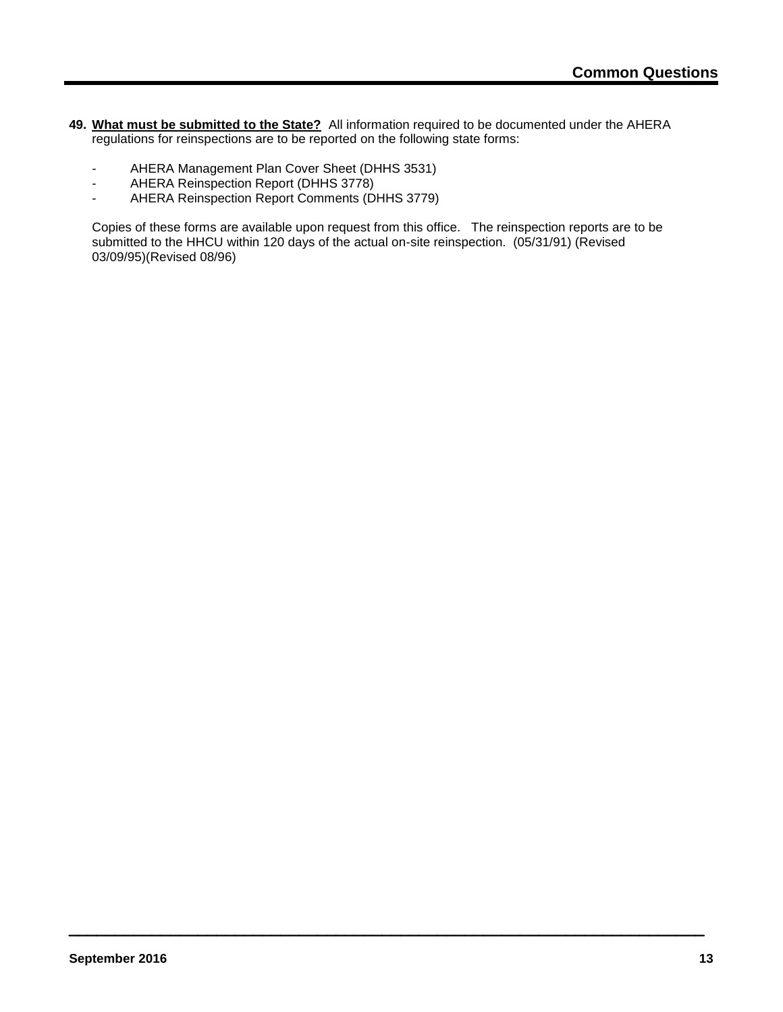- **49. What must be submitted to the State?** All information required to be documented under the AHERA regulations for reinspections are to be reported on the following state forms:
	- AHERA Management Plan Cover Sheet (DHHS 3531)
	- AHERA Reinspection Report (DHHS 3778)
	- AHERA Reinspection Report Comments (DHHS 3779)

Copies of these forms are available upon request from this office. The reinspection reports are to be submitted to the HHCU within 120 days of the actual on-site reinspection. (05/31/91) (Revised 03/09/95)(Revised 08/96)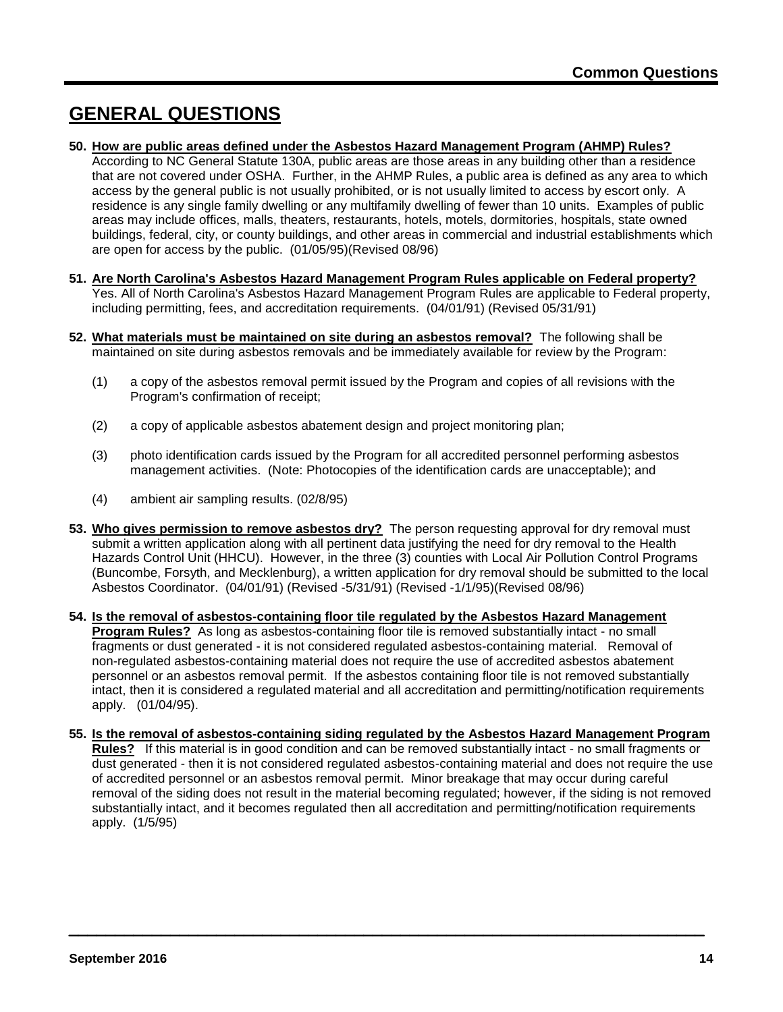### **GENERAL QUESTIONS**

### **50. How are public areas defined under the Asbestos Hazard Management Program (AHMP) Rules?**

According to NC General Statute 130A, public areas are those areas in any building other than a residence that are not covered under OSHA. Further, in the AHMP Rules, a public area is defined as any area to which access by the general public is not usually prohibited, or is not usually limited to access by escort only. A residence is any single family dwelling or any multifamily dwelling of fewer than 10 units. Examples of public areas may include offices, malls, theaters, restaurants, hotels, motels, dormitories, hospitals, state owned buildings, federal, city, or county buildings, and other areas in commercial and industrial establishments which are open for access by the public. (01/05/95)(Revised 08/96)

- **51. Are North Carolina's Asbestos Hazard Management Program Rules applicable on Federal property?** Yes. All of North Carolina's Asbestos Hazard Management Program Rules are applicable to Federal property, including permitting, fees, and accreditation requirements. (04/01/91) (Revised 05/31/91)
- **52. What materials must be maintained on site during an asbestos removal?** The following shall be maintained on site during asbestos removals and be immediately available for review by the Program:
	- (1) a copy of the asbestos removal permit issued by the Program and copies of all revisions with the Program's confirmation of receipt;
	- (2) a copy of applicable asbestos abatement design and project monitoring plan;
	- (3) photo identification cards issued by the Program for all accredited personnel performing asbestos management activities. (Note: Photocopies of the identification cards are unacceptable); and
	- (4) ambient air sampling results. (02/8/95)
- **53. Who gives permission to remove asbestos dry?** The person requesting approval for dry removal must submit a written application along with all pertinent data justifying the need for dry removal to the Health Hazards Control Unit (HHCU). However, in the three (3) counties with Local Air Pollution Control Programs (Buncombe, Forsyth, and Mecklenburg), a written application for dry removal should be submitted to the local Asbestos Coordinator. (04/01/91) (Revised -5/31/91) (Revised -1/1/95)(Revised 08/96)
- **54. Is the removal of asbestos-containing floor tile regulated by the Asbestos Hazard Management Program Rules?** As long as asbestos-containing floor tile is removed substantially intact - no small fragments or dust generated - it is not considered regulated asbestos-containing material. Removal of non-regulated asbestos-containing material does not require the use of accredited asbestos abatement personnel or an asbestos removal permit. If the asbestos containing floor tile is not removed substantially intact, then it is considered a regulated material and all accreditation and permitting/notification requirements apply. (01/04/95).
- **55. Is the removal of asbestos-containing siding regulated by the Asbestos Hazard Management Program Rules?** If this material is in good condition and can be removed substantially intact - no small fragments or dust generated - then it is not considered regulated asbestos-containing material and does not require the use of accredited personnel or an asbestos removal permit. Minor breakage that may occur during careful removal of the siding does not result in the material becoming regulated; however, if the siding is not removed substantially intact, and it becomes regulated then all accreditation and permitting/notification requirements apply. (1/5/95)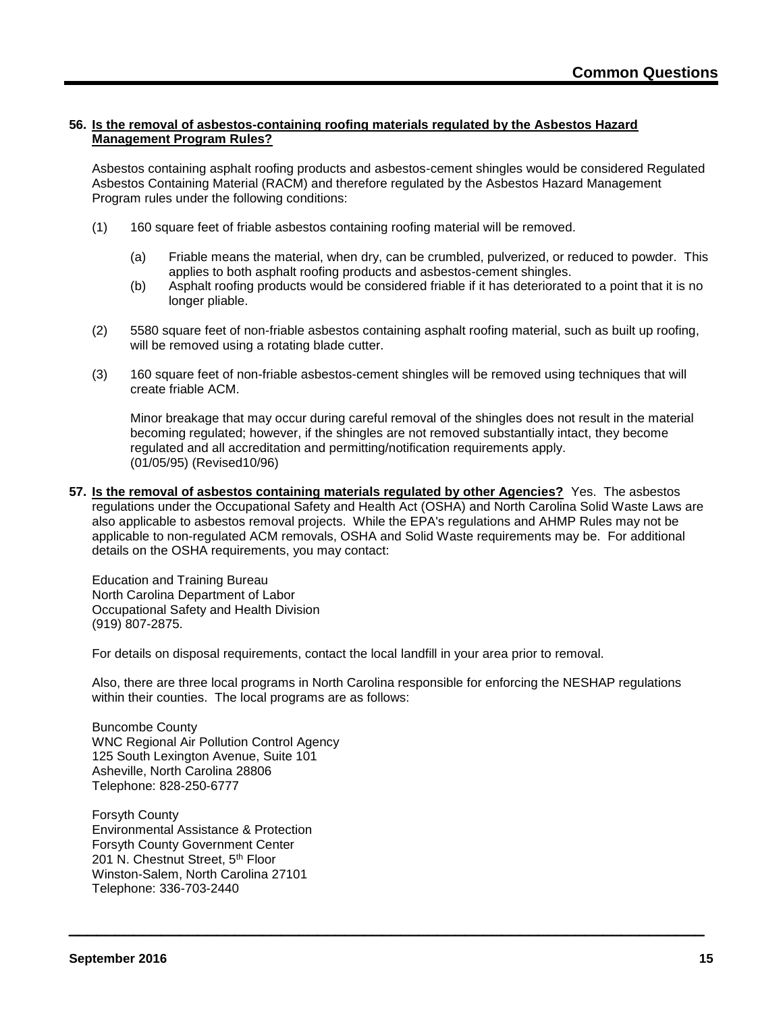### **56. Is the removal of asbestos-containing roofing materials regulated by the Asbestos Hazard Management Program Rules?**

Asbestos containing asphalt roofing products and asbestos-cement shingles would be considered Regulated Asbestos Containing Material (RACM) and therefore regulated by the Asbestos Hazard Management Program rules under the following conditions:

- (1) 160 square feet of friable asbestos containing roofing material will be removed.
	- (a) Friable means the material, when dry, can be crumbled, pulverized, or reduced to powder. This applies to both asphalt roofing products and asbestos-cement shingles.
	- (b) Asphalt roofing products would be considered friable if it has deteriorated to a point that it is no longer pliable.
- (2) 5580 square feet of non-friable asbestos containing asphalt roofing material, such as built up roofing, will be removed using a rotating blade cutter.
- (3) 160 square feet of non-friable asbestos-cement shingles will be removed using techniques that will create friable ACM.

Minor breakage that may occur during careful removal of the shingles does not result in the material becoming regulated; however, if the shingles are not removed substantially intact, they become regulated and all accreditation and permitting/notification requirements apply. (01/05/95) (Revised10/96)

**57. Is the removal of asbestos containing materials regulated by other Agencies?** Yes. The asbestos regulations under the Occupational Safety and Health Act (OSHA) and North Carolina Solid Waste Laws are also applicable to asbestos removal projects. While the EPA's regulations and AHMP Rules may not be applicable to non-regulated ACM removals, OSHA and Solid Waste requirements may be. For additional details on the OSHA requirements, you may contact:

Education and Training Bureau North Carolina Department of Labor Occupational Safety and Health Division (919) 807-2875.

For details on disposal requirements, contact the local landfill in your area prior to removal.

Also, there are three local programs in North Carolina responsible for enforcing the NESHAP regulations within their counties. The local programs are as follows:

Buncombe County WNC Regional Air Pollution Control Agency 125 South Lexington Avenue, Suite 101 Asheville, North Carolina 28806 Telephone: 828-250-6777

Forsyth County Environmental Assistance & Protection Forsyth County Government Center 201 N. Chestnut Street, 5th Floor Winston-Salem, North Carolina 27101 Telephone: 336-703-2440